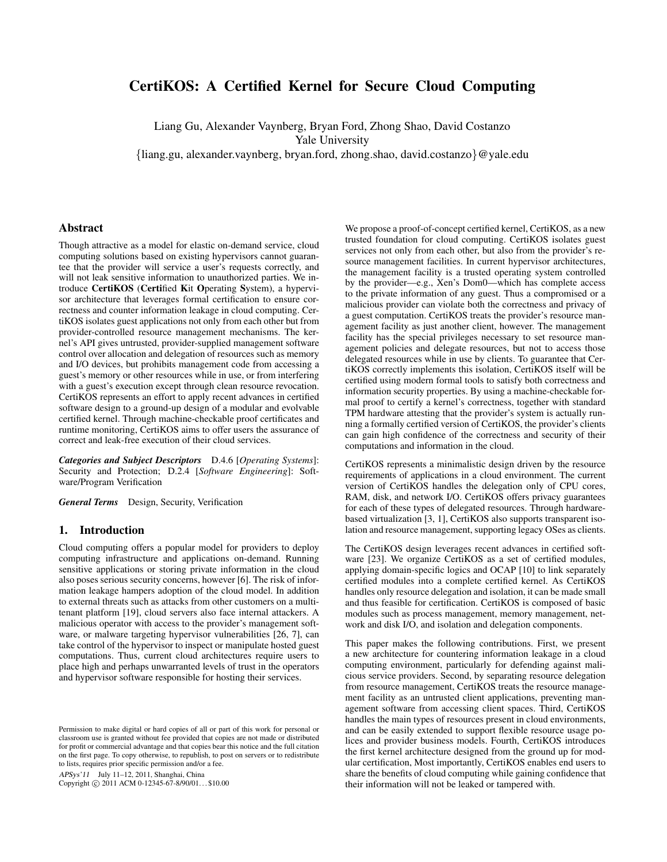# CertiKOS: A Certified Kernel for Secure Cloud Computing

Liang Gu, Alexander Vaynberg, Bryan Ford, Zhong Shao, David Costanzo Yale University

{liang.gu, alexander.vaynberg, bryan.ford, zhong.shao, david.costanzo}@yale.edu

# Abstract

Though attractive as a model for elastic on-demand service, cloud computing solutions based on existing hypervisors cannot guarantee that the provider will service a user's requests correctly, and will not leak sensitive information to unauthorized parties. We introduce CertiKOS (Certified Kit Operating System), a hypervisor architecture that leverages formal certification to ensure correctness and counter information leakage in cloud computing. CertiKOS isolates guest applications not only from each other but from provider-controlled resource management mechanisms. The kernel's API gives untrusted, provider-supplied management software control over allocation and delegation of resources such as memory and I/O devices, but prohibits management code from accessing a guest's memory or other resources while in use, or from interfering with a guest's execution except through clean resource revocation. CertiKOS represents an effort to apply recent advances in certified software design to a ground-up design of a modular and evolvable certified kernel. Through machine-checkable proof certificates and runtime monitoring, CertiKOS aims to offer users the assurance of correct and leak-free execution of their cloud services.

*Categories and Subject Descriptors* D.4.6 [*Operating Systems*]: Security and Protection; D.2.4 [*Software Engineering*]: Software/Program Verification

*General Terms* Design, Security, Verification

### 1. Introduction

Cloud computing offers a popular model for providers to deploy computing infrastructure and applications on-demand. Running sensitive applications or storing private information in the cloud also poses serious security concerns, however [6]. The risk of information leakage hampers adoption of the cloud model. In addition to external threats such as attacks from other customers on a multitenant platform [19], cloud servers also face internal attackers. A malicious operator with access to the provider's management software, or malware targeting hypervisor vulnerabilities [26, 7], can take control of the hypervisor to inspect or manipulate hosted guest computations. Thus, current cloud architectures require users to place high and perhaps unwarranted levels of trust in the operators and hypervisor software responsible for hosting their services.

APSys'11 July 11–12, 2011, Shanghai, China

Copyright © 2011 ACM 0-12345-67-8/90/01... \$10.00

We propose a proof-of-concept certified kernel, CertiKOS, as a new trusted foundation for cloud computing. CertiKOS isolates guest services not only from each other, but also from the provider's resource management facilities. In current hypervisor architectures, the management facility is a trusted operating system controlled by the provider—e.g., Xen's Dom0—which has complete access to the private information of any guest. Thus a compromised or a malicious provider can violate both the correctness and privacy of a guest computation. CertiKOS treats the provider's resource management facility as just another client, however. The management facility has the special privileges necessary to set resource management policies and delegate resources, but not to access those delegated resources while in use by clients. To guarantee that CertiKOS correctly implements this isolation, CertiKOS itself will be certified using modern formal tools to satisfy both correctness and information security properties. By using a machine-checkable formal proof to certify a kernel's correctness, together with standard TPM hardware attesting that the provider's system is actually running a formally certified version of CertiKOS, the provider's clients can gain high confidence of the correctness and security of their computations and information in the cloud.

CertiKOS represents a minimalistic design driven by the resource requirements of applications in a cloud environment. The current version of CertiKOS handles the delegation only of CPU cores, RAM, disk, and network I/O. CertiKOS offers privacy guarantees for each of these types of delegated resources. Through hardwarebased virtualization [3, 1], CertiKOS also supports transparent isolation and resource management, supporting legacy OSes as clients.

The CertiKOS design leverages recent advances in certified software [23]. We organize CertiKOS as a set of certified modules, applying domain-specific logics and OCAP [10] to link separately certified modules into a complete certified kernel. As CertiKOS handles only resource delegation and isolation, it can be made small and thus feasible for certification. CertiKOS is composed of basic modules such as process management, memory management, network and disk I/O, and isolation and delegation components.

This paper makes the following contributions. First, we present a new architecture for countering information leakage in a cloud computing environment, particularly for defending against malicious service providers. Second, by separating resource delegation from resource management, CertiKOS treats the resource management facility as an untrusted client applications, preventing management software from accessing client spaces. Third, CertiKOS handles the main types of resources present in cloud environments, and can be easily extended to support flexible resource usage polices and provider business models. Fourth, CertiKOS introduces the first kernel architecture designed from the ground up for modular certification, Most importantly, CertiKOS enables end users to share the benefits of cloud computing while gaining confidence that their information will not be leaked or tampered with.

Permission to make digital or hard copies of all or part of this work for personal or classroom use is granted without fee provided that copies are not made or distributed for profit or commercial advantage and that copies bear this notice and the full citation on the first page. To copy otherwise, to republish, to post on servers or to redistribute to lists, requires prior specific permission and/or a fee.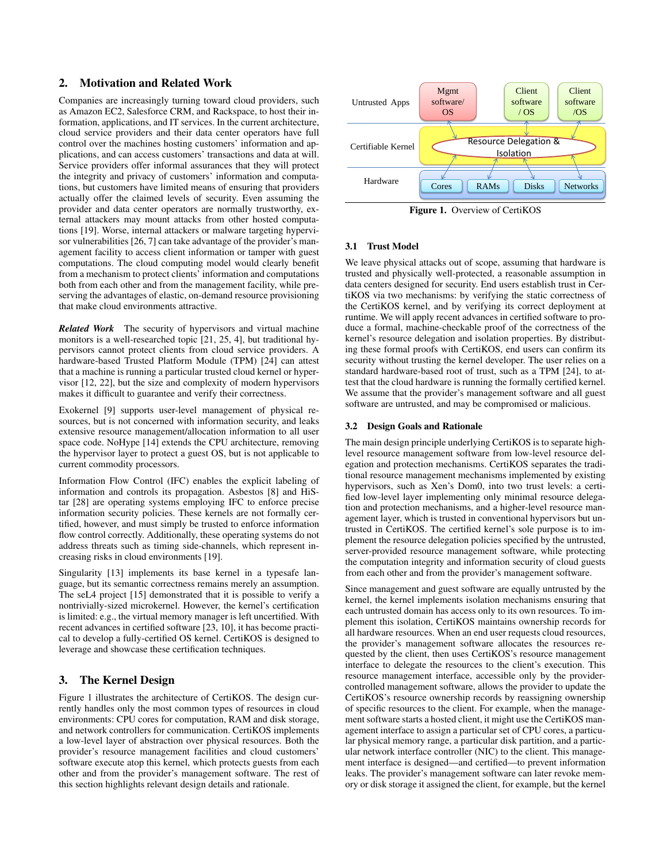# 2. Motivation and Related Work

Companies are increasingly turning toward cloud providers, such as Amazon EC2, Salesforce CRM, and Rackspace, to host their information, applications, and IT services. In the current architecture, cloud service providers and their data center operators have full control over the machines hosting customers' information and applications, and can access customers' transactions and data at will. Service providers offer informal assurances that they will protect the integrity and privacy of customers' information and computations, but customers have limited means of ensuring that providers actually offer the claimed levels of security. Even assuming the provider and data center operators are normally trustworthy, external attackers may mount attacks from other hosted computations [19]. Worse, internal attackers or malware targeting hypervisor vulnerabilities [26, 7] can take advantage of the provider's management facility to access client information or tamper with guest computations. The cloud computing model would clearly benefit from a mechanism to protect clients' information and computations both from each other and from the management facility, while preserving the advantages of elastic, on-demand resource provisioning that make cloud environments attractive.

*Related Work* The security of hypervisors and virtual machine monitors is a well-researched topic [21, 25, 4], but traditional hypervisors cannot protect clients from cloud service providers. A hardware-based Trusted Platform Module (TPM) [24] can attest that a machine is running a particular trusted cloud kernel or hypervisor [12, 22], but the size and complexity of modern hypervisors makes it difficult to guarantee and verify their correctness.

Exokernel [9] supports user-level management of physical resources, but is not concerned with information security, and leaks extensive resource management/allocation information to all user space code. NoHype [14] extends the CPU architecture, removing the hypervisor layer to protect a guest OS, but is not applicable to current commodity processors.

Information Flow Control (IFC) enables the explicit labeling of information and controls its propagation. Asbestos [8] and HiStar [28] are operating systems employing IFC to enforce precise information security policies. These kernels are not formally certified, however, and must simply be trusted to enforce information flow control correctly. Additionally, these operating systems do not address threats such as timing side-channels, which represent increasing risks in cloud environments [19].

Singularity [13] implements its base kernel in a typesafe language, but its semantic correctness remains merely an assumption. The seL4 project [15] demonstrated that it is possible to verify a nontrivially-sized microkernel. However, the kernel's certification is limited: e.g., the virtual memory manager is left uncertified. With recent advances in certified software [23, 10], it has become practical to develop a fully-certified OS kernel. CertiKOS is designed to leverage and showcase these certification techniques.

# 3. The Kernel Design

Figure 1 illustrates the architecture of CertiKOS. The design currently handles only the most common types of resources in cloud environments: CPU cores for computation, RAM and disk storage, and network controllers for communication. CertiKOS implements a low-level layer of abstraction over physical resources. Both the provider's resource management facilities and cloud customers' software execute atop this kernel, which protects guests from each other and from the provider's management software. The rest of this section highlights relevant design details and rationale.



Figure 1. Overview of CertiKOS

#### 3.1 Trust Model

We leave physical attacks out of scope, assuming that hardware is trusted and physically well-protected, a reasonable assumption in data centers designed for security. End users establish trust in CertiKOS via two mechanisms: by verifying the static correctness of the CertiKOS kernel, and by verifying its correct deployment at runtime. We will apply recent advances in certified software to produce a formal, machine-checkable proof of the correctness of the kernel's resource delegation and isolation properties. By distributing these formal proofs with CertiKOS, end users can confirm its security without trusting the kernel developer. The user relies on a standard hardware-based root of trust, such as a TPM [24], to attest that the cloud hardware is running the formally certified kernel. We assume that the provider's management software and all guest software are untrusted, and may be compromised or malicious.

#### 3.2 Design Goals and Rationale

The main design principle underlying CertiKOS is to separate highlevel resource management software from low-level resource delegation and protection mechanisms. CertiKOS separates the traditional resource management mechanisms implemented by existing hypervisors, such as Xen's Dom0, into two trust levels: a certified low-level layer implementing only minimal resource delegation and protection mechanisms, and a higher-level resource management layer, which is trusted in conventional hypervisors but untrusted in CertiKOS. The certified kernel's sole purpose is to implement the resource delegation policies specified by the untrusted, server-provided resource management software, while protecting the computation integrity and information security of cloud guests from each other and from the provider's management software.

Since management and guest software are equally untrusted by the kernel, the kernel implements isolation mechanisms ensuring that each untrusted domain has access only to its own resources. To implement this isolation, CertiKOS maintains ownership records for all hardware resources. When an end user requests cloud resources, the provider's management software allocates the resources requested by the client, then uses CertiKOS's resource management interface to delegate the resources to the client's execution. This resource management interface, accessible only by the providercontrolled management software, allows the provider to update the CertiKOS's resource ownership records by reassigning ownership of specific resources to the client. For example, when the management software starts a hosted client, it might use the CertiKOS management interface to assign a particular set of CPU cores, a particular physical memory range, a particular disk partition, and a particular network interface controller (NIC) to the client. This management interface is designed—and certified—to prevent information leaks. The provider's management software can later revoke memory or disk storage it assigned the client, for example, but the kernel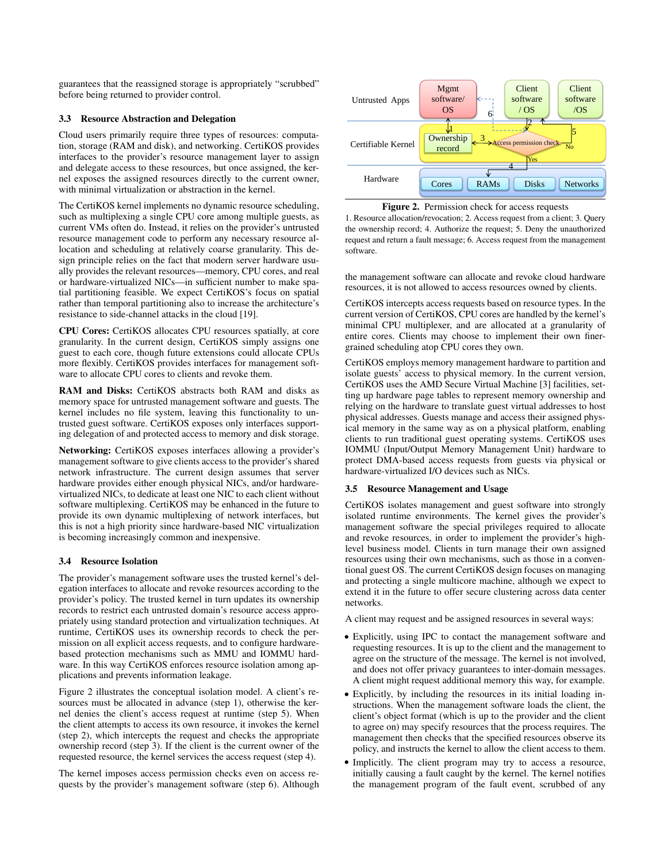guarantees that the reassigned storage is appropriately "scrubbed" before being returned to provider control.

### 3.3 Resource Abstraction and Delegation

Cloud users primarily require three types of resources: computation, storage (RAM and disk), and networking. CertiKOS provides interfaces to the provider's resource management layer to assign and delegate access to these resources, but once assigned, the kernel exposes the assigned resources directly to the current owner, with minimal virtualization or abstraction in the kernel.

The CertiKOS kernel implements no dynamic resource scheduling, such as multiplexing a single CPU core among multiple guests, as current VMs often do. Instead, it relies on the provider's untrusted resource management code to perform any necessary resource allocation and scheduling at relatively coarse granularity. This design principle relies on the fact that modern server hardware usually provides the relevant resources—memory, CPU cores, and real or hardware-virtualized NICs—in sufficient number to make spatial partitioning feasible. We expect CertiKOS's focus on spatial rather than temporal partitioning also to increase the architecture's resistance to side-channel attacks in the cloud [19].

CPU Cores: CertiKOS allocates CPU resources spatially, at core granularity. In the current design, CertiKOS simply assigns one guest to each core, though future extensions could allocate CPUs more flexibly. CertiKOS provides interfaces for management software to allocate CPU cores to clients and revoke them.

RAM and Disks: CertiKOS abstracts both RAM and disks as memory space for untrusted management software and guests. The kernel includes no file system, leaving this functionality to untrusted guest software. CertiKOS exposes only interfaces supporting delegation of and protected access to memory and disk storage.

Networking: CertiKOS exposes interfaces allowing a provider's management software to give clients access to the provider's shared network infrastructure. The current design assumes that server hardware provides either enough physical NICs, and/or hardwarevirtualized NICs, to dedicate at least one NIC to each client without software multiplexing. CertiKOS may be enhanced in the future to provide its own dynamic multiplexing of network interfaces, but this is not a high priority since hardware-based NIC virtualization is becoming increasingly common and inexpensive.

#### 3.4 Resource Isolation

The provider's management software uses the trusted kernel's delegation interfaces to allocate and revoke resources according to the provider's policy. The trusted kernel in turn updates its ownership records to restrict each untrusted domain's resource access appropriately using standard protection and virtualization techniques. At runtime, CertiKOS uses its ownership records to check the permission on all explicit access requests, and to configure hardwarebased protection mechanisms such as MMU and IOMMU hardware. In this way CertiKOS enforces resource isolation among applications and prevents information leakage.

Figure 2 illustrates the conceptual isolation model. A client's resources must be allocated in advance (step 1), otherwise the kernel denies the client's access request at runtime (step 5). When the client attempts to access its own resource, it invokes the kernel (step 2), which intercepts the request and checks the appropriate ownership record (step 3). If the client is the current owner of the requested resource, the kernel services the access request (step 4).

The kernel imposes access permission checks even on access requests by the provider's management software (step 6). Although



Figure 2. Permission check for access requests

1. Resource allocation/revocation; 2. Access request from a client; 3. Query the ownership record; 4. Authorize the request; 5. Deny the unauthorized request and return a fault message; 6. Access request from the management software.

the management software can allocate and revoke cloud hardware resources, it is not allowed to access resources owned by clients.

CertiKOS intercepts access requests based on resource types. In the current version of CertiKOS, CPU cores are handled by the kernel's minimal CPU multiplexer, and are allocated at a granularity of entire cores. Clients may choose to implement their own finergrained scheduling atop CPU cores they own.

CertiKOS employs memory management hardware to partition and isolate guests' access to physical memory. In the current version, CertiKOS uses the AMD Secure Virtual Machine [3] facilities, setting up hardware page tables to represent memory ownership and relying on the hardware to translate guest virtual addresses to host physical addresses. Guests manage and access their assigned physical memory in the same way as on a physical platform, enabling clients to run traditional guest operating systems. CertiKOS uses IOMMU (Input/Output Memory Management Unit) hardware to protect DMA-based access requests from guests via physical or hardware-virtualized I/O devices such as NICs.

### 3.5 Resource Management and Usage

CertiKOS isolates management and guest software into strongly isolated runtime environments. The kernel gives the provider's management software the special privileges required to allocate and revoke resources, in order to implement the provider's highlevel business model. Clients in turn manage their own assigned resources using their own mechanisms, such as those in a conventional guest OS. The current CertiKOS design focuses on managing and protecting a single multicore machine, although we expect to extend it in the future to offer secure clustering across data center networks.

A client may request and be assigned resources in several ways:

- Explicitly, using IPC to contact the management software and requesting resources. It is up to the client and the management to agree on the structure of the message. The kernel is not involved, and does not offer privacy guarantees to inter-domain messages. A client might request additional memory this way, for example.
- Explicitly, by including the resources in its initial loading instructions. When the management software loads the client, the client's object format (which is up to the provider and the client to agree on) may specify resources that the process requires. The management then checks that the specified resources observe its policy, and instructs the kernel to allow the client access to them.
- Implicitly. The client program may try to access a resource, initially causing a fault caught by the kernel. The kernel notifies the management program of the fault event, scrubbed of any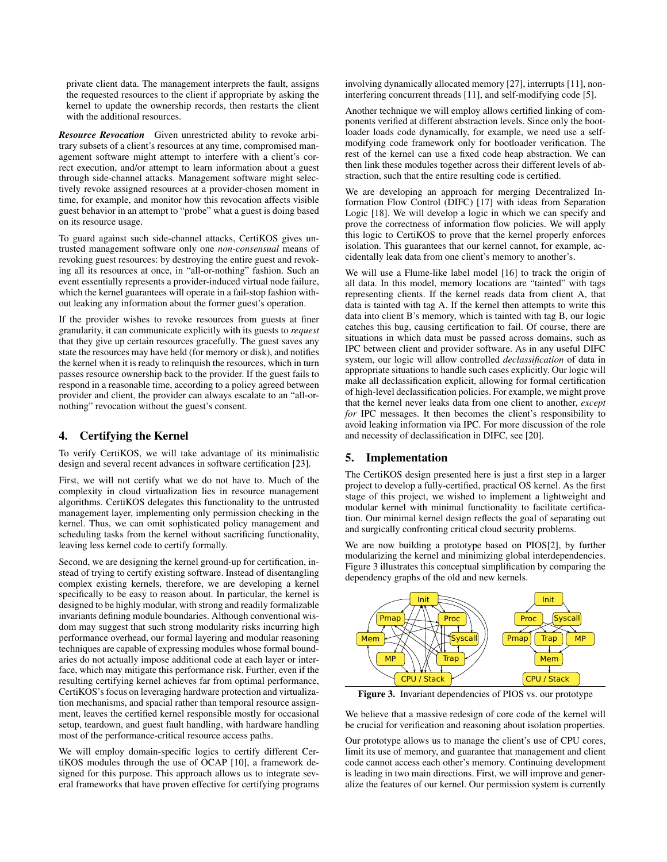private client data. The management interprets the fault, assigns the requested resources to the client if appropriate by asking the kernel to update the ownership records, then restarts the client with the additional resources.

*Resource Revocation* Given unrestricted ability to revoke arbitrary subsets of a client's resources at any time, compromised management software might attempt to interfere with a client's correct execution, and/or attempt to learn information about a guest through side-channel attacks. Management software might selectively revoke assigned resources at a provider-chosen moment in time, for example, and monitor how this revocation affects visible guest behavior in an attempt to "probe" what a guest is doing based on its resource usage.

To guard against such side-channel attacks, CertiKOS gives untrusted management software only one *non-consensual* means of revoking guest resources: by destroying the entire guest and revoking all its resources at once, in "all-or-nothing" fashion. Such an event essentially represents a provider-induced virtual node failure, which the kernel guarantees will operate in a fail-stop fashion without leaking any information about the former guest's operation.

If the provider wishes to revoke resources from guests at finer granularity, it can communicate explicitly with its guests to *request* that they give up certain resources gracefully. The guest saves any state the resources may have held (for memory or disk), and notifies the kernel when it is ready to relinquish the resources, which in turn passes resource ownership back to the provider. If the guest fails to respond in a reasonable time, according to a policy agreed between provider and client, the provider can always escalate to an "all-ornothing" revocation without the guest's consent.

# 4. Certifying the Kernel

To verify CertiKOS, we will take advantage of its minimalistic design and several recent advances in software certification [23].

First, we will not certify what we do not have to. Much of the complexity in cloud virtualization lies in resource management algorithms. CertiKOS delegates this functionality to the untrusted management layer, implementing only permission checking in the kernel. Thus, we can omit sophisticated policy management and scheduling tasks from the kernel without sacrificing functionality, leaving less kernel code to certify formally.

Second, we are designing the kernel ground-up for certification, instead of trying to certify existing software. Instead of disentangling complex existing kernels, therefore, we are developing a kernel specifically to be easy to reason about. In particular, the kernel is designed to be highly modular, with strong and readily formalizable invariants defining module boundaries. Although conventional wisdom may suggest that such strong modularity risks incurring high performance overhead, our formal layering and modular reasoning techniques are capable of expressing modules whose formal boundaries do not actually impose additional code at each layer or interface, which may mitigate this performance risk. Further, even if the resulting certifying kernel achieves far from optimal performance, CertiKOS's focus on leveraging hardware protection and virtualization mechanisms, and spacial rather than temporal resource assignment, leaves the certified kernel responsible mostly for occasional setup, teardown, and guest fault handling, with hardware handling most of the performance-critical resource access paths.

We will employ domain-specific logics to certify different CertiKOS modules through the use of OCAP [10], a framework designed for this purpose. This approach allows us to integrate several frameworks that have proven effective for certifying programs involving dynamically allocated memory [27], interrupts [11], noninterfering concurrent threads [11], and self-modifying code [5].

Another technique we will employ allows certified linking of components verified at different abstraction levels. Since only the bootloader loads code dynamically, for example, we need use a selfmodifying code framework only for bootloader verification. The rest of the kernel can use a fixed code heap abstraction. We can then link these modules together across their different levels of abstraction, such that the entire resulting code is certified.

We are developing an approach for merging Decentralized Information Flow Control (DIFC) [17] with ideas from Separation Logic [18]. We will develop a logic in which we can specify and prove the correctness of information flow policies. We will apply this logic to CertiKOS to prove that the kernel properly enforces isolation. This guarantees that our kernel cannot, for example, accidentally leak data from one client's memory to another's.

We will use a Flume-like label model [16] to track the origin of all data. In this model, memory locations are "tainted" with tags representing clients. If the kernel reads data from client A, that data is tainted with tag A. If the kernel then attempts to write this data into client B's memory, which is tainted with tag B, our logic catches this bug, causing certification to fail. Of course, there are situations in which data must be passed across domains, such as IPC between client and provider software. As in any useful DIFC system, our logic will allow controlled *declassification* of data in appropriate situations to handle such cases explicitly. Our logic will make all declassification explicit, allowing for formal certification of high-level declassification policies. For example, we might prove that the kernel never leaks data from one client to another, *except for* IPC messages. It then becomes the client's responsibility to avoid leaking information via IPC. For more discussion of the role and necessity of declassification in DIFC, see [20].

# 5. Implementation

The CertiKOS design presented here is just a first step in a larger project to develop a fully-certified, practical OS kernel. As the first stage of this project, we wished to implement a lightweight and modular kernel with minimal functionality to facilitate certification. Our minimal kernel design reflects the goal of separating out and surgically confronting critical cloud security problems.

We are now building a prototype based on PIOS[2], by further modularizing the kernel and minimizing global interdependencies. Figure 3 illustrates this conceptual simplification by comparing the dependency graphs of the old and new kernels.



Figure 3. Invariant dependencies of PIOS vs. our prototype

We believe that a massive redesign of core code of the kernel will be crucial for verification and reasoning about isolation properties.

Our prototype allows us to manage the client's use of CPU cores, limit its use of memory, and guarantee that management and client code cannot access each other's memory. Continuing development is leading in two main directions. First, we will improve and generalize the features of our kernel. Our permission system is currently